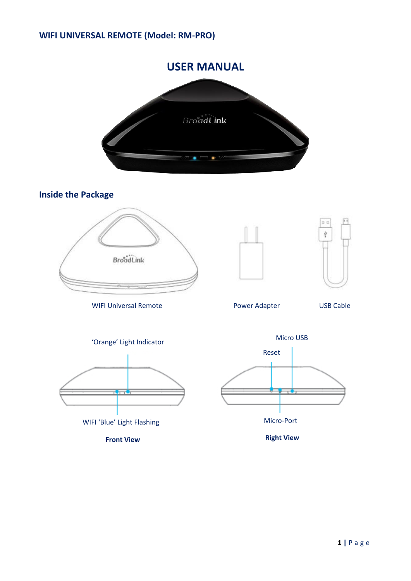# **USER MANUAL** BroadLink

**Inside the Package**



WIFI Universal Remote **National Power Adapter** USB Cable









**Front View Right View Right View**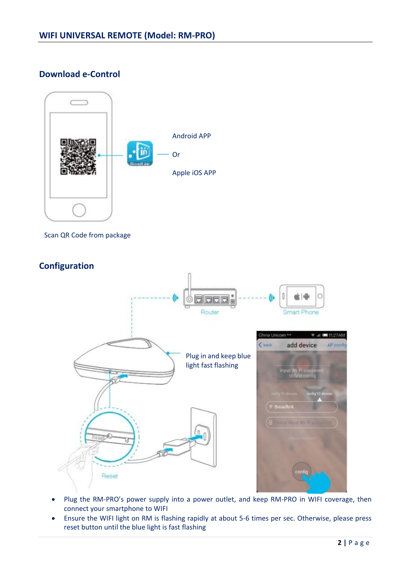**Download e-Control**



- Plug the RM-PRO's power supply into a power outlet, and keep RM-PRO in WIFI coverage, then connect your smartphone to WIFI
- Ensure the WIFI light on RM is flashing rapidly at about 5-6 times per sec. Otherwise, please press reset button until the blue light is fast flashing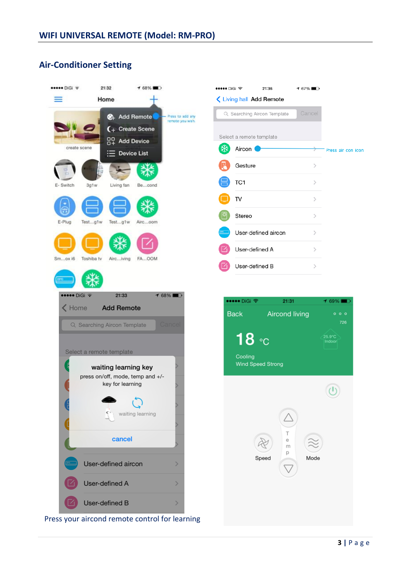# **Air-Conditioner Setting**



Press your aircond remote control for learning

Press air con icon

 $169\%$ 

25.9°C<br>Indoor

 $\odot$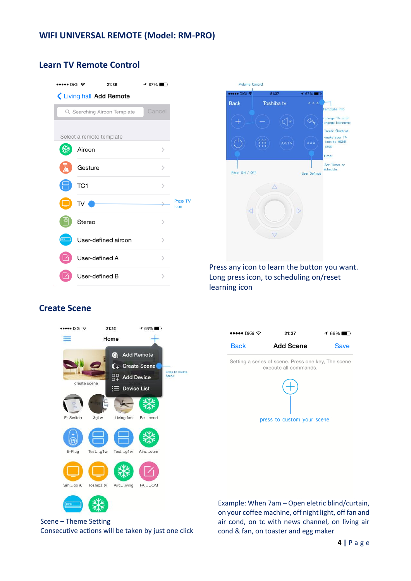## **Learn TV Remote Control**

| ••••• DiGi ক                |                 | 21:36               | $167\%$ |                             |
|-----------------------------|-----------------|---------------------|---------|-----------------------------|
| Living hall Add Remote      |                 |                     |         |                             |
| Q Searching Aircon Template |                 |                     | Cancel  |                             |
|                             |                 |                     |         |                             |
| Select a remote template    |                 |                     |         |                             |
|                             | Aircon          |                     | ⋋       |                             |
|                             | Gesture         |                     | ⋋       |                             |
|                             | TC <sub>1</sub> |                     | ⋋       |                             |
|                             | TV              |                     |         | Press <sub>TV</sub><br>Icon |
|                             | Stereo          |                     | ⋋       |                             |
|                             |                 | User-defined aircon | ↘       |                             |
|                             | User-defined A  |                     | ↘       |                             |
|                             | User-defined B  |                     |         |                             |



Press any icon to learn the button you want. Long press icon, to scheduling on/reset learning icon

## **Create Scene**





Example: When 7am – Open eletric blind/curtain, on your coffee machine, off night light, off fan and air cond, on tc with news channel, on living air cond & fan, on toaster and egg maker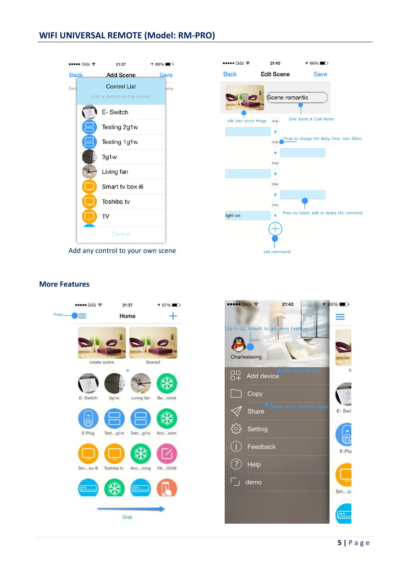## **WIFI UNIVERSAL REMOTE (Model: RM-PRO)**



Add any control to your own scene



### **More Features**



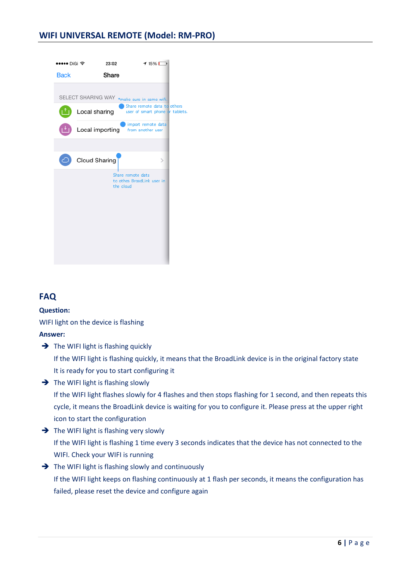

# **FAQ**

#### **Question:**

WIFI light on the device is flashing

**Answer:** 

 $\rightarrow$  The WIFI light is flashing quickly If the WIFI light is flashing quickly, it means that the BroadLink device is in the original factory state It is ready for you to start configuring it

 $\rightarrow$  The WIFI light is flashing slowly

If the WIFI light flashes slowly for 4 flashes and then stops flashing for 1 second, and then repeats this cycle, it means the BroadLink device is waiting for you to configure it. Please press at the upper right icon to start the configuration

 $\rightarrow$  The WIFI light is flashing very slowly If the WIFI light is flashing 1 time every 3 seconds indicates that the device has not connected to the

WIFI. Check your WIFI is running

 $\rightarrow$  The WIFI light is flashing slowly and continuously

If the WIFI light keeps on flashing continuously at 1 flash per seconds, it means the configuration has failed, please reset the device and configure again